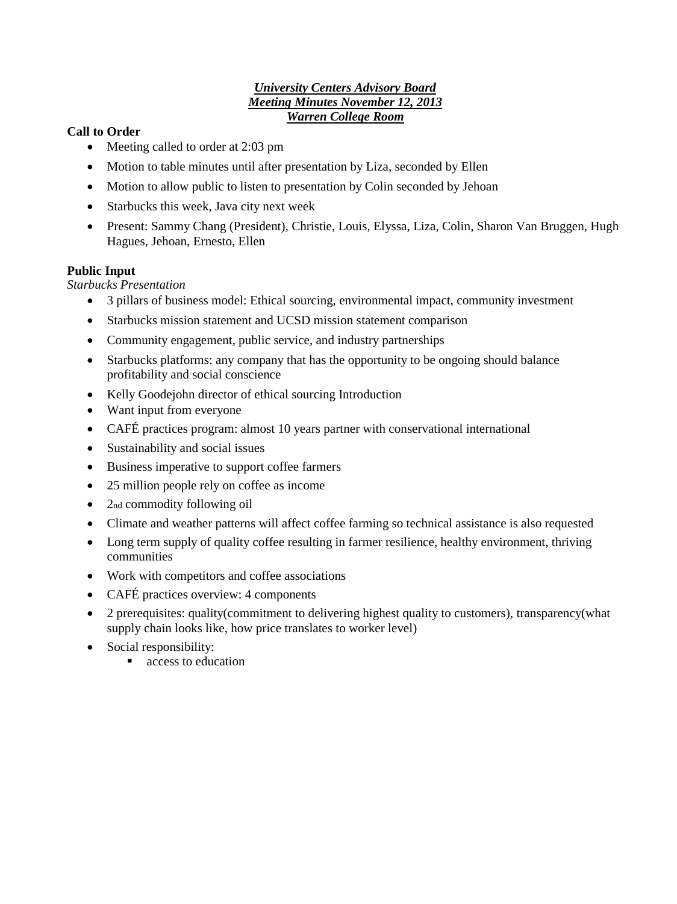## *University Centers Advisory Board Meeting Minutes November 12, 2013 Warren College Room*

## **Call to Order**

- Meeting called to order at 2:03 pm
- Motion to table minutes until after presentation by Liza, seconded by Ellen
- Motion to allow public to listen to presentation by Colin seconded by Jehoan
- Starbucks this week, Java city next week
- Present: Sammy Chang (President), Christie, Louis, Elyssa, Liza, Colin, Sharon Van Bruggen, Hugh Hagues, Jehoan, Ernesto, Ellen

### **Public Input**

*Starbucks Presentation* 

- 3 pillars of business model: Ethical sourcing, environmental impact, community investment
- Starbucks mission statement and UCSD mission statement comparison
- Community engagement, public service, and industry partnerships
- Starbucks platforms: any company that has the opportunity to be ongoing should balance profitability and social conscience
- Kelly Goodejohn director of ethical sourcing Introduction
- Want input from everyone
- CAFÉ practices program: almost 10 years partner with conservational international
- Sustainability and social issues
- Business imperative to support coffee farmers
- 25 million people rely on coffee as income
- 2nd commodity following oil
- Climate and weather patterns will affect coffee farming so technical assistance is also requested
- Long term supply of quality coffee resulting in farmer resilience, healthy environment, thriving communities
- Work with competitors and coffee associations
- CAFÉ practices overview: 4 components
- 2 prerequisites: quality(commitment to delivering highest quality to customers), transparency(what supply chain looks like, how price translates to worker level)
- Social responsibility:
	- access to education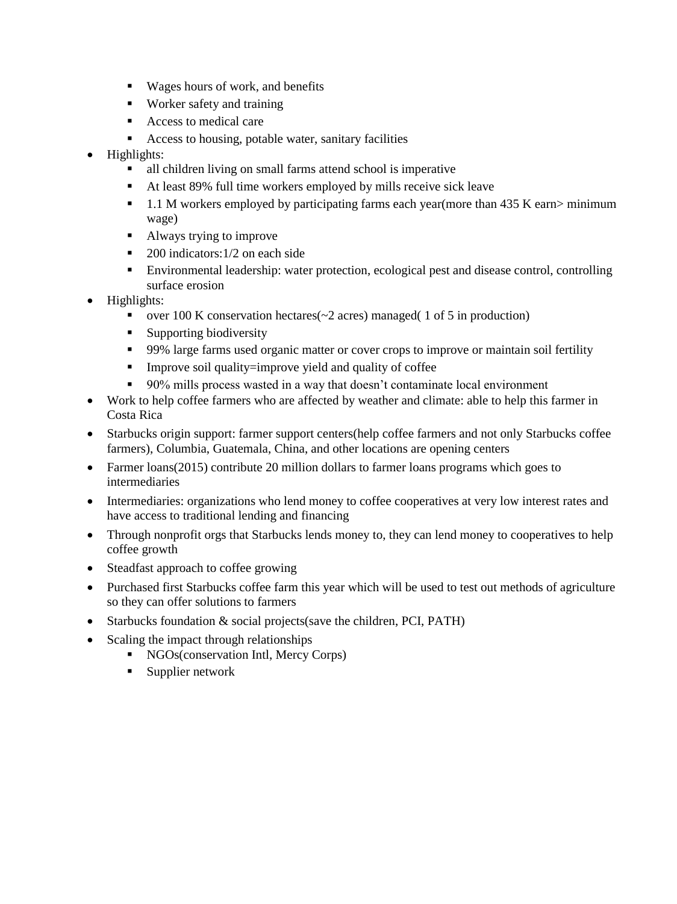- Wages hours of work, and benefits
- Worker safety and training
- Access to medical care
- Access to housing, potable water, sanitary facilities
- Highlights:
	- all children living on small farms attend school is imperative
	- At least 89% full time workers employed by mills receive sick leave
	- 1.1 M workers employed by participating farms each year(more than 435 K earn> minimum wage)
	- Always trying to improve
	- $\blacksquare$  200 indicators: 1/2 on each side
	- Environmental leadership: water protection, ecological pest and disease control, controlling surface erosion
- Highlights:
	- over 100 K conservation hectares  $\sim$  2 acres) managed (1 of 5 in production)
	- Supporting biodiversity
	- 99% large farms used organic matter or cover crops to improve or maintain soil fertility
	- Improve soil quality=improve yield and quality of coffee
	- 90% mills process wasted in a way that doesn't contaminate local environment
- Work to help coffee farmers who are affected by weather and climate: able to help this farmer in Costa Rica
- Starbucks origin support: farmer support centers(help coffee farmers and not only Starbucks coffee farmers), Columbia, Guatemala, China, and other locations are opening centers
- Farmer loans(2015) contribute 20 million dollars to farmer loans programs which goes to intermediaries
- Intermediaries: organizations who lend money to coffee cooperatives at very low interest rates and have access to traditional lending and financing
- Through nonprofit orgs that Starbucks lends money to, they can lend money to cooperatives to help coffee growth
- Steadfast approach to coffee growing
- Purchased first Starbucks coffee farm this year which will be used to test out methods of agriculture so they can offer solutions to farmers
- Starbucks foundation & social projects (save the children, PCI, PATH)
- Scaling the impact through relationships
	- NGOs(conservation Intl, Mercy Corps)
		- **Supplier network**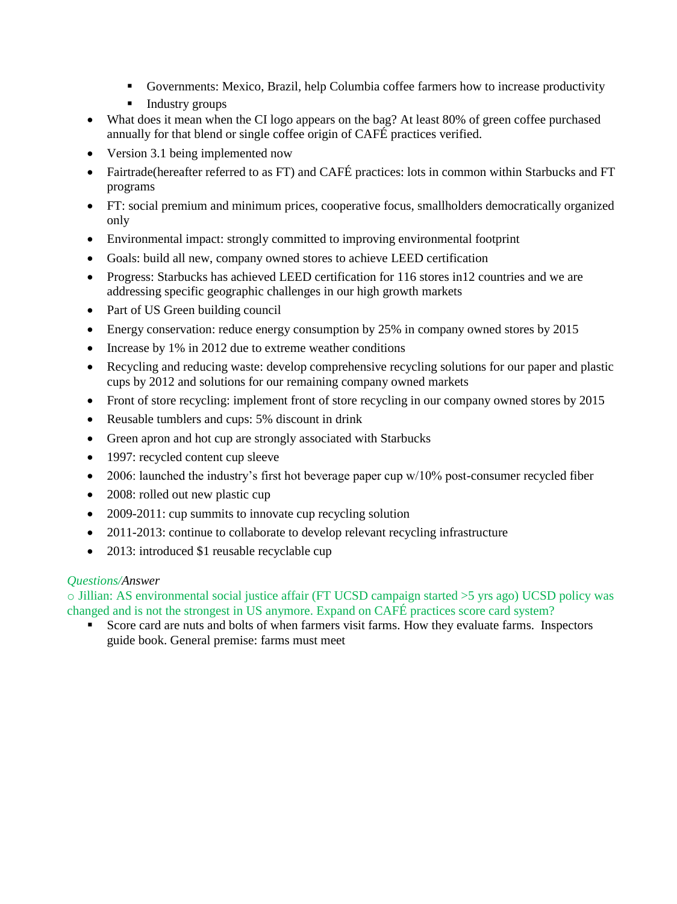- Governments: Mexico, Brazil, help Columbia coffee farmers how to increase productivity
- **Industry groups**
- What does it mean when the CI logo appears on the bag? At least 80% of green coffee purchased annually for that blend or single coffee origin of CAFÉ practices verified.
- Version 3.1 being implemented now
- Fairtrade(hereafter referred to as FT) and CAFÉ practices: lots in common within Starbucks and FT programs
- FT: social premium and minimum prices, cooperative focus, smallholders democratically organized only
- Environmental impact: strongly committed to improving environmental footprint
- Goals: build all new, company owned stores to achieve LEED certification
- Progress: Starbucks has achieved LEED certification for 116 stores in 12 countries and we are addressing specific geographic challenges in our high growth markets
- Part of US Green building council
- Energy conservation: reduce energy consumption by 25% in company owned stores by 2015
- Increase by 1% in 2012 due to extreme weather conditions
- Recycling and reducing waste: develop comprehensive recycling solutions for our paper and plastic cups by 2012 and solutions for our remaining company owned markets
- Front of store recycling: implement front of store recycling in our company owned stores by 2015
- Reusable tumblers and cups: 5% discount in drink
- Green apron and hot cup are strongly associated with Starbucks
- 1997: recycled content cup sleeve
- 2006: launched the industry's first hot beverage paper cup w/10% post-consumer recycled fiber
- 2008: rolled out new plastic cup
- 2009-2011: cup summits to innovate cup recycling solution
- 2011-2013: continue to collaborate to develop relevant recycling infrastructure
- 2013: introduced \$1 reusable recyclable cup

# *Questions/Answer*

o Jillian: AS environmental social justice affair (FT UCSD campaign started >5 yrs ago) UCSD policy was changed and is not the strongest in US anymore. Expand on CAFÉ practices score card system?

 Score card are nuts and bolts of when farmers visit farms. How they evaluate farms. Inspectors guide book. General premise: farms must meet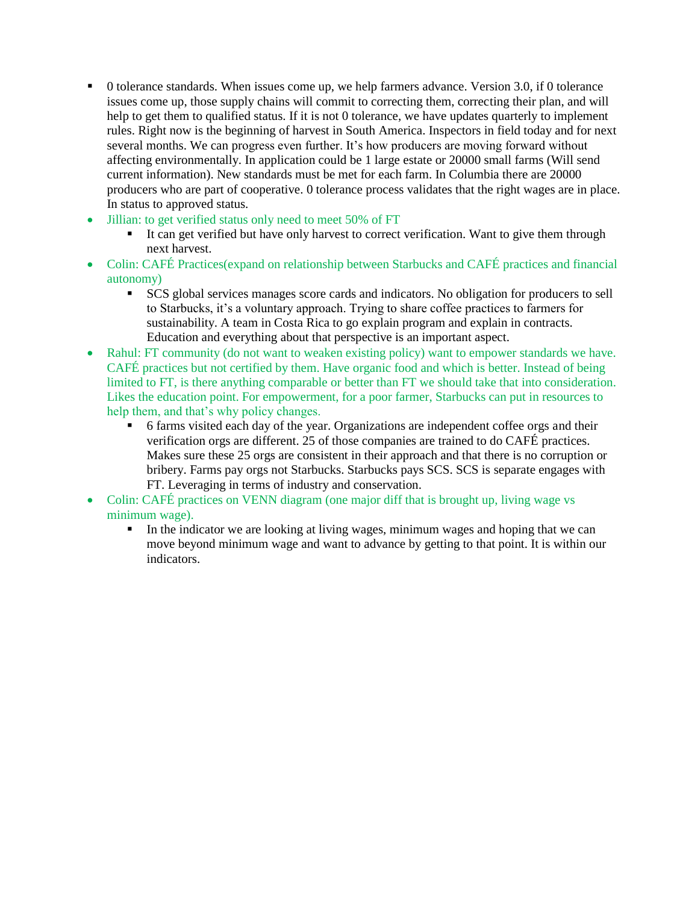- 0 tolerance standards. When issues come up, we help farmers advance. Version 3.0, if 0 tolerance issues come up, those supply chains will commit to correcting them, correcting their plan, and will help to get them to qualified status. If it is not 0 tolerance, we have updates quarterly to implement rules. Right now is the beginning of harvest in South America. Inspectors in field today and for next several months. We can progress even further. It's how producers are moving forward without affecting environmentally. In application could be 1 large estate or 20000 small farms (Will send current information). New standards must be met for each farm. In Columbia there are 20000 producers who are part of cooperative. 0 tolerance process validates that the right wages are in place. In status to approved status.
- Jillian: to get verified status only need to meet 50% of FT
	- It can get verified but have only harvest to correct verification. Want to give them through next harvest.
- Colin: CAFÉ Practices(expand on relationship between Starbucks and CAFÉ practices and financial autonomy)
	- SCS global services manages score cards and indicators. No obligation for producers to sell to Starbucks, it's a voluntary approach. Trying to share coffee practices to farmers for sustainability. A team in Costa Rica to go explain program and explain in contracts. Education and everything about that perspective is an important aspect.
- Rahul: FT community (do not want to weaken existing policy) want to empower standards we have. CAFÉ practices but not certified by them. Have organic food and which is better. Instead of being limited to FT, is there anything comparable or better than FT we should take that into consideration. Likes the education point. For empowerment, for a poor farmer, Starbucks can put in resources to help them, and that's why policy changes.
	- 6 farms visited each day of the year. Organizations are independent coffee orgs and their verification orgs are different. 25 of those companies are trained to do CAFÉ practices. Makes sure these 25 orgs are consistent in their approach and that there is no corruption or bribery. Farms pay orgs not Starbucks. Starbucks pays SCS. SCS is separate engages with FT. Leveraging in terms of industry and conservation.
- Colin: CAFÉ practices on VENN diagram (one major diff that is brought up, living wage vs minimum wage).
	- In the indicator we are looking at living wages, minimum wages and hoping that we can move beyond minimum wage and want to advance by getting to that point. It is within our indicators.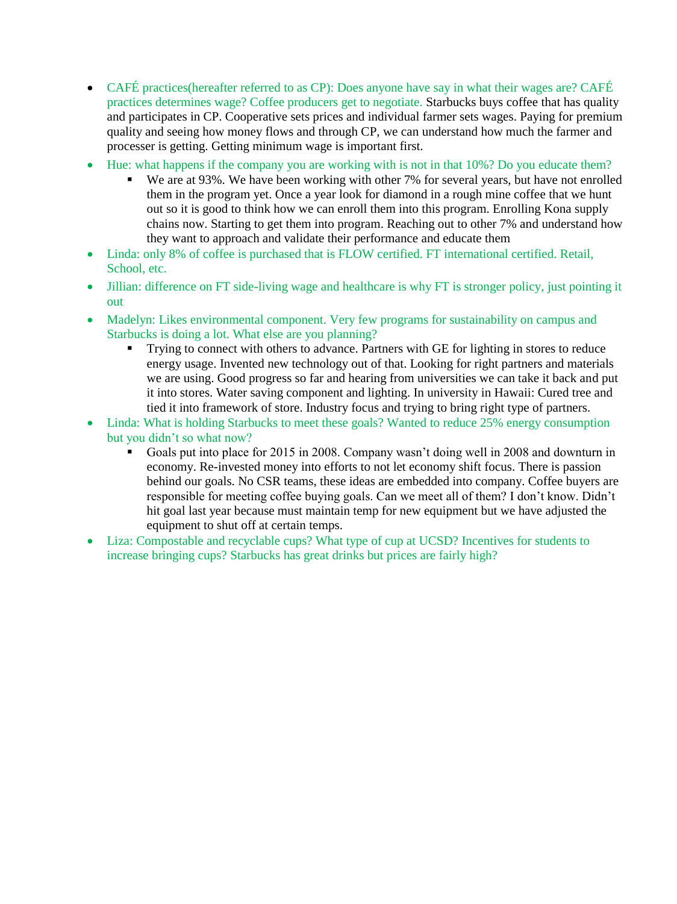- CAFÉ practices(hereafter referred to as CP): Does anyone have say in what their wages are? CAFÉ practices determines wage? Coffee producers get to negotiate. Starbucks buys coffee that has quality and participates in CP. Cooperative sets prices and individual farmer sets wages. Paying for premium quality and seeing how money flows and through CP, we can understand how much the farmer and processer is getting. Getting minimum wage is important first.
- Hue: what happens if the company you are working with is not in that 10%? Do you educate them?
	- We are at 93%. We have been working with other 7% for several years, but have not enrolled them in the program yet. Once a year look for diamond in a rough mine coffee that we hunt out so it is good to think how we can enroll them into this program. Enrolling Kona supply chains now. Starting to get them into program. Reaching out to other 7% and understand how they want to approach and validate their performance and educate them
- Linda: only 8% of coffee is purchased that is FLOW certified. FT international certified. Retail, School, etc.
- Jillian: difference on FT side-living wage and healthcare is why FT is stronger policy, just pointing it out
- Madelyn: Likes environmental component. Very few programs for sustainability on campus and Starbucks is doing a lot. What else are you planning?
	- Trying to connect with others to advance. Partners with GE for lighting in stores to reduce energy usage. Invented new technology out of that. Looking for right partners and materials we are using. Good progress so far and hearing from universities we can take it back and put it into stores. Water saving component and lighting. In university in Hawaii: Cured tree and tied it into framework of store. Industry focus and trying to bring right type of partners.
- Linda: What is holding Starbucks to meet these goals? Wanted to reduce 25% energy consumption but you didn't so what now?
	- Goals put into place for 2015 in 2008. Company wasn't doing well in 2008 and downturn in economy. Re-invested money into efforts to not let economy shift focus. There is passion behind our goals. No CSR teams, these ideas are embedded into company. Coffee buyers are responsible for meeting coffee buying goals. Can we meet all of them? I don't know. Didn't hit goal last year because must maintain temp for new equipment but we have adjusted the equipment to shut off at certain temps.
- Liza: Compostable and recyclable cups? What type of cup at UCSD? Incentives for students to increase bringing cups? Starbucks has great drinks but prices are fairly high?